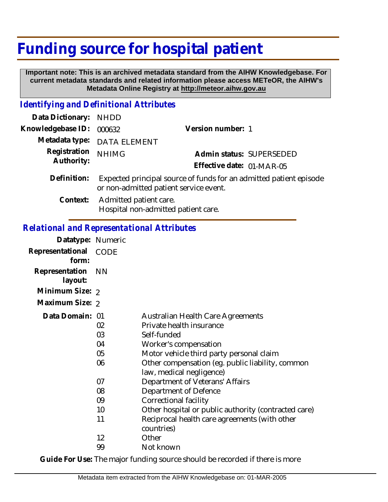# **Funding source for hospital patient**

 **Important note: This is an archived metadata standard from the AIHW Knowledgebase. For current metadata standards and related information please access METeOR, the AIHW's Metadata Online Registry at http://meteor.aihw.gov.au**

### *Identifying and Definitional Attributes*

| Data Dictionary: NHDD      |                                                                                                              |                           |  |
|----------------------------|--------------------------------------------------------------------------------------------------------------|---------------------------|--|
| Knowledgebase ID:          | 000632                                                                                                       | Version number: 1         |  |
|                            | Metadata type: DATA ELEMENT                                                                                  |                           |  |
| Registration<br>Authority: | <b>NHIMG</b>                                                                                                 | Admin status: SUPERSEDED  |  |
|                            |                                                                                                              | Effective date: 01-MAR-05 |  |
| Definition:                | Expected principal source of funds for an admitted patient episode<br>or non-admitted patient service event. |                           |  |
| Context:                   | Admitted patient care.                                                                                       |                           |  |

Hospital non-admitted patient care.

## *Relational and Representational Attributes*

| Datatype: Numeric         |           |                                                                              |
|---------------------------|-----------|------------------------------------------------------------------------------|
| Representational<br>form: | CODE      |                                                                              |
| Representation<br>layout: | <b>NN</b> |                                                                              |
| Minimum Size: 2           |           |                                                                              |
| Maximum Size: 2           |           |                                                                              |
| Data Domain: 01           |           | <b>Australian Health Care Agreements</b>                                     |
|                           | 02        | Private health insurance                                                     |
|                           | 03        | Self-funded                                                                  |
|                           | 04        | Worker's compensation                                                        |
|                           | 05        | Motor vehicle third party personal claim                                     |
|                           | 06        | Other compensation (eg. public liability, common<br>law, medical negligence) |
|                           | 07        | Department of Veterans' Affairs                                              |
|                           | 08        | Department of Defence                                                        |
|                           | 09        | Correctional facility                                                        |
|                           | 10        | Other hospital or public authority (contracted care)                         |
|                           | 11        | Reciprocal health care agreements (with other<br>countries)                  |
|                           | 12        | Other                                                                        |
|                           | 99        | Not known                                                                    |

**Guide For Use:** The major funding source should be recorded if there is more